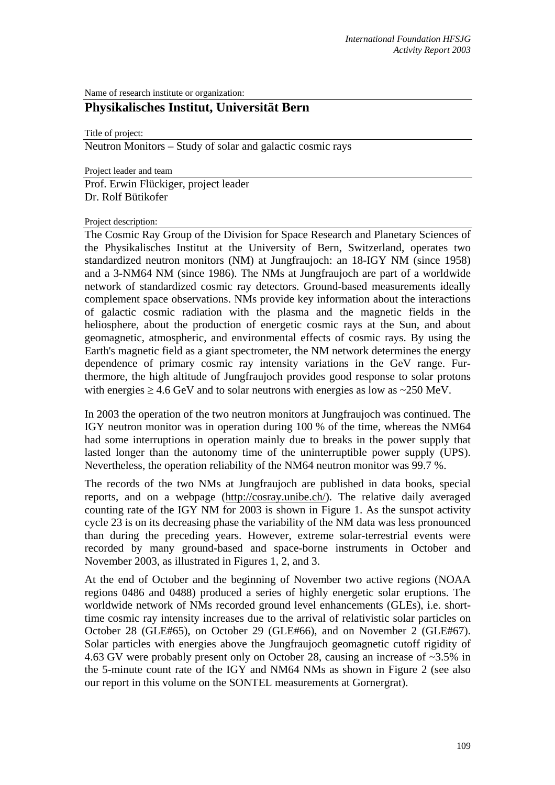Name of research institute or organization:

# **Physikalisches Institut, Universität Bern**

Title of project:

Neutron Monitors – Study of solar and galactic cosmic rays

Project leader and team Prof. Erwin Flückiger, project leader Dr. Rolf Bütikofer

Project description:

The Cosmic Ray Group of the Division for Space Research and Planetary Sciences of the Physikalisches Institut at the University of Bern, Switzerland, operates two standardized neutron monitors (NM) at Jungfraujoch: an 18-IGY NM (since 1958) and a 3-NM64 NM (since 1986). The NMs at Jungfraujoch are part of a worldwide network of standardized cosmic ray detectors. Ground-based measurements ideally complement space observations. NMs provide key information about the interactions of galactic cosmic radiation with the plasma and the magnetic fields in the heliosphere, about the production of energetic cosmic rays at the Sun, and about geomagnetic, atmospheric, and environmental effects of cosmic rays. By using the Earth's magnetic field as a giant spectrometer, the NM network determines the energy dependence of primary cosmic ray intensity variations in the GeV range. Furthermore, the high altitude of Jungfraujoch provides good response to solar protons with energies  $\geq 4.6$  GeV and to solar neutrons with energies as low as  $\sim$ 250 MeV.

In 2003 the operation of the two neutron monitors at Jungfraujoch was continued. The IGY neutron monitor was in operation during 100 % of the time, whereas the NM64 had some interruptions in operation mainly due to breaks in the power supply that lasted longer than the autonomy time of the uninterruptible power supply (UPS). Nevertheless, the operation reliability of the NM64 neutron monitor was 99.7 %.

The records of the two NMs at Jungfraujoch are published in data books, special reports, and on a webpage (http://cosray.unibe.ch/). The relative daily averaged counting rate of the IGY NM for 2003 is shown in Figure 1. As the sunspot activity cycle 23 is on its decreasing phase the variability of the NM data was less pronounced than during the preceding years. However, extreme solar-terrestrial events were recorded by many ground-based and space-borne instruments in October and November 2003, as illustrated in Figures 1, 2, and 3.

At the end of October and the beginning of November two active regions (NOAA regions 0486 and 0488) produced a series of highly energetic solar eruptions. The worldwide network of NMs recorded ground level enhancements (GLEs), i.e. shorttime cosmic ray intensity increases due to the arrival of relativistic solar particles on October 28 (GLE#65), on October 29 (GLE#66), and on November 2 (GLE#67). Solar particles with energies above the Jungfraujoch geomagnetic cutoff rigidity of 4.63 GV were probably present only on October 28, causing an increase of ~3.5% in the 5-minute count rate of the IGY and NM64 NMs as shown in Figure 2 (see also our report in this volume on the SONTEL measurements at Gornergrat).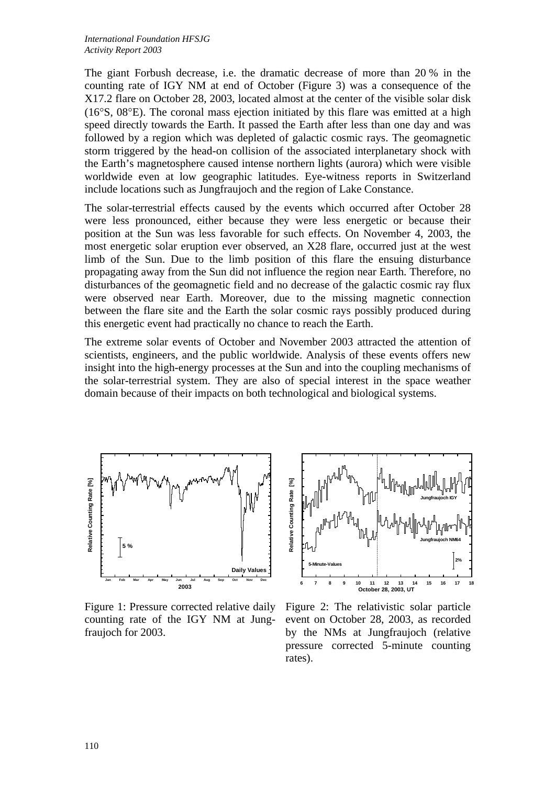The giant Forbush decrease, i.e. the dramatic decrease of more than 20 % in the counting rate of IGY NM at end of October (Figure 3) was a consequence of the X17.2 flare on October 28, 2003, located almost at the center of the visible solar disk (16°S, 08°E). The coronal mass ejection initiated by this flare was emitted at a high speed directly towards the Earth. It passed the Earth after less than one day and was followed by a region which was depleted of galactic cosmic rays. The geomagnetic storm triggered by the head-on collision of the associated interplanetary shock with the Earth's magnetosphere caused intense northern lights (aurora) which were visible worldwide even at low geographic latitudes. Eye-witness reports in Switzerland include locations such as Jungfraujoch and the region of Lake Constance.

The solar-terrestrial effects caused by the events which occurred after October 28 were less pronounced, either because they were less energetic or because their position at the Sun was less favorable for such effects. On November 4, 2003, the most energetic solar eruption ever observed, an X28 flare, occurred just at the west limb of the Sun. Due to the limb position of this flare the ensuing disturbance propagating away from the Sun did not influence the region near Earth. Therefore, no disturbances of the geomagnetic field and no decrease of the galactic cosmic ray flux were observed near Earth. Moreover, due to the missing magnetic connection between the flare site and the Earth the solar cosmic rays possibly produced during this energetic event had practically no chance to reach the Earth.

The extreme solar events of October and November 2003 attracted the attention of scientists, engineers, and the public worldwide. Analysis of these events offers new insight into the high-energy processes at the Sun and into the coupling mechanisms of the solar-terrestrial system. They are also of special interest in the space weather domain because of their impacts on both technological and biological systems.



Figure 1: Pressure corrected relative daily counting rate of the IGY NM at Jungfraujoch for 2003.



Figure 2: The relativistic solar particle event on October 28, 2003, as recorded by the NMs at Jungfraujoch (relative pressure corrected 5-minute counting rates).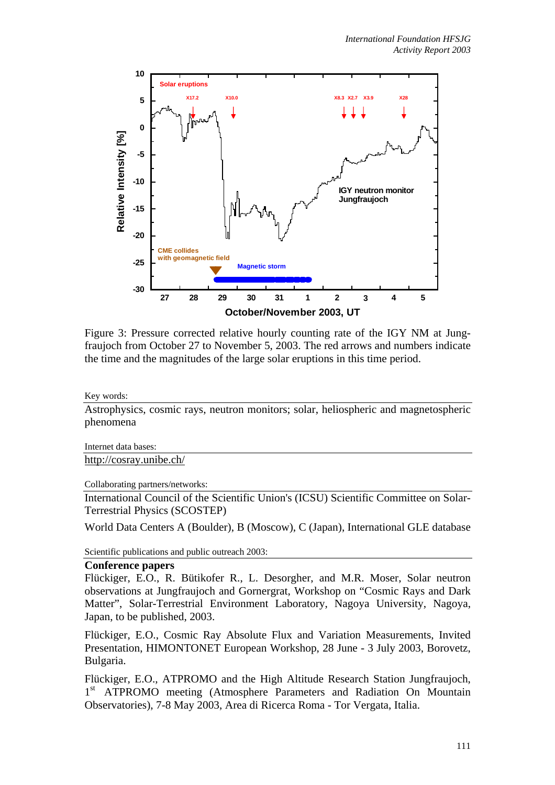

Figure 3: Pressure corrected relative hourly counting rate of the IGY NM at Jungfraujoch from October 27 to November 5, 2003. The red arrows and numbers indicate the time and the magnitudes of the large solar eruptions in this time period.

Key words:

Astrophysics, cosmic rays, neutron monitors; solar, heliospheric and magnetospheric phenomena

Internet data bases:

http://cosray.unibe.ch/

Collaborating partners/networks:

International Council of the Scientific Union's (ICSU) Scientific Committee on Solar-Terrestrial Physics (SCOSTEP)

World Data Centers A (Boulder), B (Moscow), C (Japan), International GLE database

Scientific publications and public outreach 2003:

#### **Conference papers**

Flückiger, E.O., R. Bütikofer R., L. Desorgher, and M.R. Moser, Solar neutron observations at Jungfraujoch and Gornergrat, Workshop on "Cosmic Rays and Dark Matter", Solar-Terrestrial Environment Laboratory, Nagoya University, Nagoya, Japan, to be published, 2003.

Flückiger, E.O., Cosmic Ray Absolute Flux and Variation Measurements, Invited Presentation, HIMONTONET European Workshop, 28 June - 3 July 2003, Borovetz, Bulgaria.

Flückiger, E.O., ATPROMO and the High Altitude Research Station Jungfraujoch, 1<sup>st</sup> ATPROMO meeting (Atmosphere Parameters and Radiation On Mountain Observatories), 7-8 May 2003, Area di Ricerca Roma - Tor Vergata, Italia.